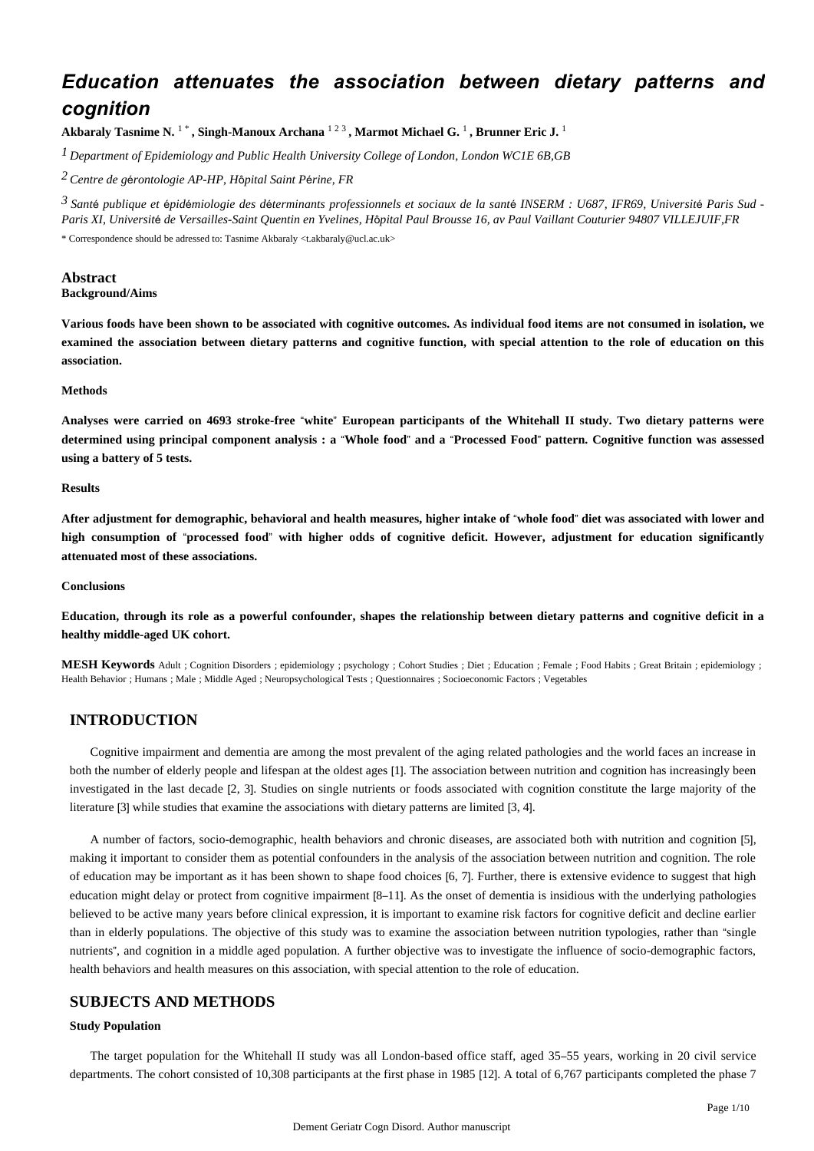# *Education attenuates the association between dietary patterns and cognition*

**Akbaraly Tasnime N.** <sup>1</sup> \* **, Singh-Manoux Archana** <sup>1</sup> <sup>2</sup> <sup>3</sup> **, Marmot Michael G.** <sup>1</sup> **, Brunner Eric J.** <sup>1</sup>

*Department of Epidemiology and Public Health 1 University College of London, London WC1E 6B,GB*

*Centre de g rontologie 2* <sup>é</sup> *AP-HP, H*ô*pital Saint P*é*rine, FR*

<sup>3</sup> Santé publique et épidémiologie des déterminants professionnels et sociaux de la santé INSERM : U687, IFR69, Université Paris Sud -*Paris XI, Universit*é *de Versailles-Saint Quentin en Yvelines, H*ô*pital Paul Brousse 16, av Paul Vaillant Couturier 94807 VILLEJUIF,FR* \* Correspondence should be adressed to: Tasnime Akbaraly <t.akbaraly@ucl.ac.uk>

# **Abstract**

# **Background/Aims**

**Various foods have been shown to be associated with cognitive outcomes. As individual food items are not consumed in isolation, we examined the association between dietary patterns and cognitive function, with special attention to the role of education on this association.**

#### **Methods**

**Analyses were carried on 4693 stroke-free** "**white**" **European participants of the Whitehall II study. Two dietary patterns were determined using principal component analysis : a** "**Whole food**" **and a** "**Processed Food**" **pattern. Cognitive function was assessed using a battery of 5 tests.**

#### **Results**

**After adjustment for demographic, behavioral and health measures, higher intake of** "**whole food**" **diet was associated with lower and high consumption of** "**processed food**" **with higher odds of cognitive deficit. However, adjustment for education significantly attenuated most of these associations.**

#### **Conclusions**

**Education, through its role as a powerful confounder, shapes the relationship between dietary patterns and cognitive deficit in a healthy middle-aged UK cohort.**

**MESH Keywords** Adult ; Cognition Disorders ; epidemiology ; psychology ; Cohort Studies ; Diet ; Education ; Female ; Food Habits ; Great Britain ; epidemiology ; Health Behavior ; Humans ; Male ; Middle Aged ; Neuropsychological Tests ; Questionnaires ; Socioeconomic Factors ; Vegetables

# **INTRODUCTION**

Cognitive impairment and dementia are among the most prevalent of the aging related pathologies and the world faces an increase in both the number of elderly people and lifespan at the oldest ages [1]. The association between nutrition and cognition has increasingly been investigated in the last decade [2, 3]. Studies on single nutrients or foods associated with cognition constitute the large majority of the literature [3] while studies that examine the associations with dietary patterns are limited [3, 4].

A number of factors, socio-demographic, health behaviors and chronic diseases, are associated both with nutrition and cognition [5], making it important to consider them as potential confounders in the analysis of the association between nutrition and cognition. The role of education may be important as it has been shown to shape food choices [6, 7]. Further, there is extensive evidence to suggest that high education might delay or protect from cognitive impairment [8–11]. As the onset of dementia is insidious with the underlying pathologies believed to be active many years before clinical expression, it is important to examine risk factors for cognitive deficit and decline earlier than in elderly populations. The objective of this study was to examine the association between nutrition typologies, rather than "single nutrients", and cognition in a middle aged population. A further objective was to investigate the influence of socio-demographic factors, health behaviors and health measures on this association, with special attention to the role of education.

# **SUBJECTS AND METHODS**

### **Study Population**

The target population for the Whitehall II study was all London-based office staff, aged 35–55 years, working in 20 civil service departments. The cohort consisted of 10,308 participants at the first phase in 1985 [12]. A total of 6,767 participants completed the phase 7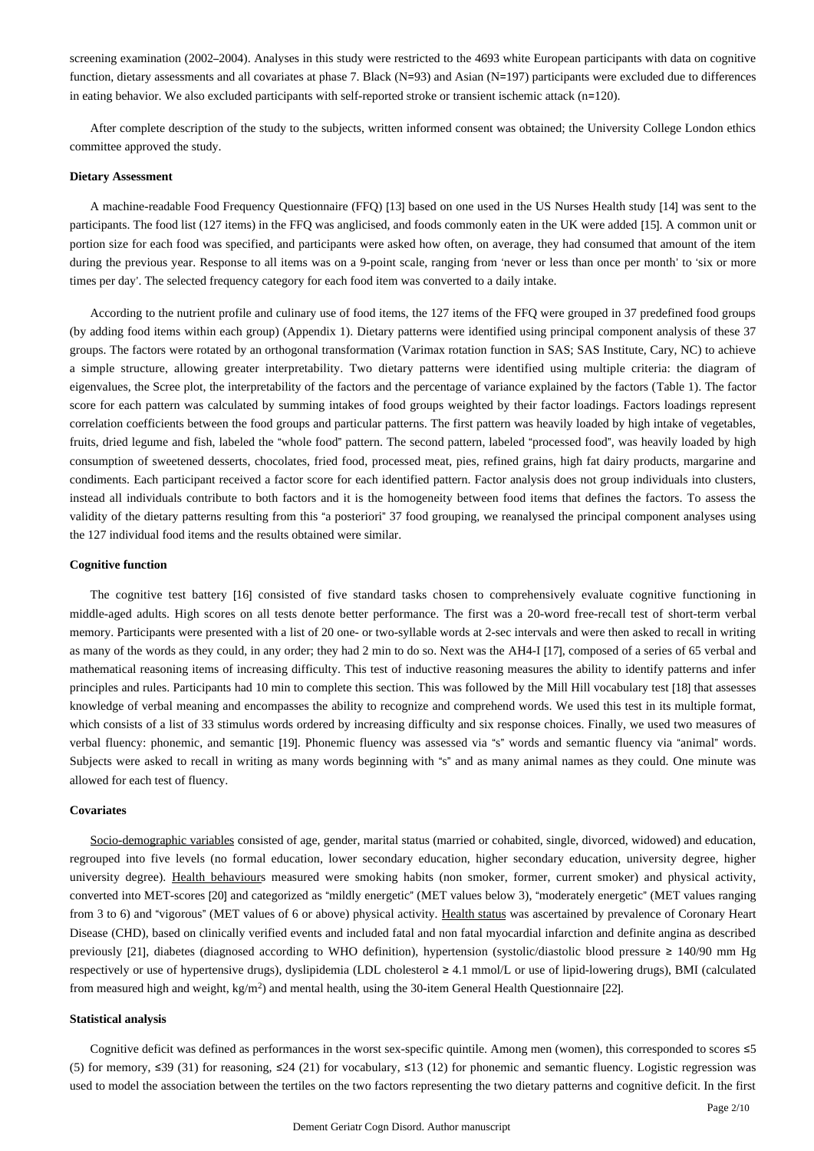screening examination (2002–2004). Analyses in this study were restricted to the 4693 white European participants with data on cognitive function, dietary assessments and all covariates at phase 7. Black (N=93) and Asian (N=197) participants were excluded due to differences in eating behavior. We also excluded participants with self-reported stroke or transient ischemic attack (n=120).

After complete description of the study to the subjects, written informed consent was obtained; the University College London ethics committee approved the study.

#### **Dietary Assessment**

A machine-readable Food Frequency Questionnaire (FFQ) [13] based on one used in the US Nurses Health study [14] was sent to the participants. The food list (127 items) in the FFQ was anglicised, and foods commonly eaten in the UK were added [15]. A common unit or portion size for each food was specified, and participants were asked how often, on average, they had consumed that amount of the item during the previous year. Response to all items was on a 9-point scale, ranging from 'never or less than once per month' to 'six or more times per day'. The selected frequency category for each food item was converted to a daily intake.

According to the nutrient profile and culinary use of food items, the 127 items of the FFQ were grouped in 37 predefined food groups (by adding food items within each group) (Appendix 1). Dietary patterns were identified using principal component analysis of these 37 groups. The factors were rotated by an orthogonal transformation (Varimax rotation function in SAS; SAS Institute, Cary, NC) to achieve a simple structure, allowing greater interpretability. Two dietary patterns were identified using multiple criteria: the diagram of eigenvalues, the Scree plot, the interpretability of the factors and the percentage of variance explained by the factors (Table 1). The factor score for each pattern was calculated by summing intakes of food groups weighted by their factor loadings. Factors loadings represent correlation coefficients between the food groups and particular patterns. The first pattern was heavily loaded by high intake of vegetables, fruits, dried legume and fish, labeled the "whole food" pattern. The second pattern, labeled "processed food", was heavily loaded by high consumption of sweetened desserts, chocolates, fried food, processed meat, pies, refined grains, high fat dairy products, margarine and condiments. Each participant received a factor score for each identified pattern. Factor analysis does not group individuals into clusters, instead all individuals contribute to both factors and it is the homogeneity between food items that defines the factors. To assess the validity of the dietary patterns resulting from this "a posteriori" 37 food grouping, we reanalysed the principal component analyses using the 127 individual food items and the results obtained were similar.

#### **Cognitive function**

The cognitive test battery [16] consisted of five standard tasks chosen to comprehensively evaluate cognitive functioning in middle-aged adults. High scores on all tests denote better performance. The first was a 20-word free-recall test of short-term verbal memory. Participants were presented with a list of 20 one- or two-syllable words at 2-sec intervals and were then asked to recall in writing as many of the words as they could, in any order; they had 2 min to do so. Next was the AH4-I [17], composed of a series of 65 verbal and mathematical reasoning items of increasing difficulty. This test of inductive reasoning measures the ability to identify patterns and infer principles and rules. Participants had 10 min to complete this section. This was followed by the Mill Hill vocabulary test [18] that assesses knowledge of verbal meaning and encompasses the ability to recognize and comprehend words. We used this test in its multiple format, which consists of a list of 33 stimulus words ordered by increasing difficulty and six response choices. Finally, we used two measures of verbal fluency: phonemic, and semantic [19]. Phonemic fluency was assessed via "s" words and semantic fluency via "animal" words. Subjects were asked to recall in writing as many words beginning with "s" and as many animal names as they could. One minute was allowed for each test of fluency.

#### **Covariates**

Socio-demographic variables consisted of age, gender, marital status (married or cohabited, single, divorced, widowed) and education, regrouped into five levels (no formal education, lower secondary education, higher secondary education, university degree, higher university degree). Health behaviours measured were smoking habits (non smoker, former, current smoker) and physical activity, converted into MET-scores [20] and categorized as "mildly energetic" (MET values below 3), "moderately energetic" (MET values ranging from 3 to 6) and "vigorous" (MET values of 6 or above) physical activity. Health status was ascertained by prevalence of Coronary Heart Disease (CHD), based on clinically verified events and included fatal and non fatal myocardial infarction and definite angina as described previously [21], diabetes (diagnosed according to WHO definition), hypertension (systolic/diastolic blood pressure ≥ 140/90 mm Hg respectively or use of hypertensive drugs), dyslipidemia (LDL cholesterol ≥ 4.1 mmol/L or use of lipid-lowering drugs), BMI (calculated from measured high and weight,  $kg/m<sup>2</sup>$ ) and mental health, using the 30-item General Health Questionnaire [22].

#### **Statistical analysis**

Cognitive deficit was defined as performances in the worst sex-specific quintile. Among men (women), this corresponded to scores ≤5 (5) for memory, ≤39 (31) for reasoning, ≤24 (21) for vocabulary, ≤13 (12) for phonemic and semantic fluency. Logistic regression was used to model the association between the tertiles on the two factors representing the two dietary patterns and cognitive deficit. In the first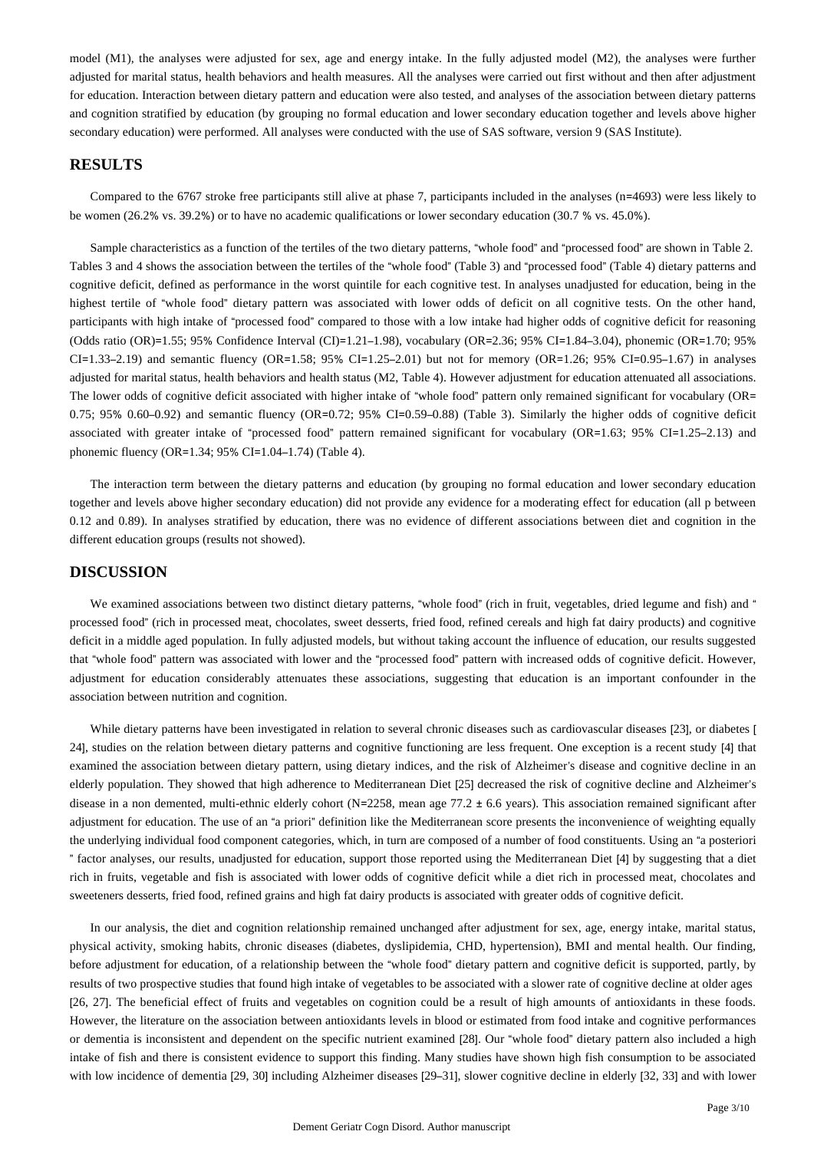model (M1), the analyses were adjusted for sex, age and energy intake. In the fully adjusted model (M2), the analyses were further adjusted for marital status, health behaviors and health measures. All the analyses were carried out first without and then after adjustment for education. Interaction between dietary pattern and education were also tested, and analyses of the association between dietary patterns and cognition stratified by education (by grouping no formal education and lower secondary education together and levels above higher secondary education) were performed. All analyses were conducted with the use of SAS software, version 9 (SAS Institute).

# **RESULTS**

Compared to the 6767 stroke free participants still alive at phase 7, participants included in the analyses (n=4693) were less likely to be women (26.2% vs. 39.2%) or to have no academic qualifications or lower secondary education (30.7 % vs. 45.0%).

Sample characteristics as a function of the tertiles of the two dietary patterns, "whole food" and "processed food" are shown in Table 2. Tables 3 and 4 shows the association between the tertiles of the "whole food" (Table 3) and "processed food" (Table 4) dietary patterns and cognitive deficit, defined as performance in the worst quintile for each cognitive test. In analyses unadjusted for education, being in the highest tertile of "whole food" dietary pattern was associated with lower odds of deficit on all cognitive tests. On the other hand, participants with high intake of "processed food" compared to those with a low intake had higher odds of cognitive deficit for reasoning (Odds ratio (OR)=1.55; 95% Confidence Interval (CI)=1.21–1.98), vocabulary (OR=2.36; 95% CI=1.84–3.04), phonemic (OR=1.70; 95%  $CI = 1.33-2.19$ ) and semantic fluency  $(OR = 1.58; 95\% CI = 1.25-2.01)$  but not for memory  $(OR = 1.26; 95\% CI = 0.95-1.67)$  in analyses adjusted for marital status, health behaviors and health status (M2, Table 4). However adjustment for education attenuated all associations. The lower odds of cognitive deficit associated with higher intake of "whole food" pattern only remained significant for vocabulary (OR=  $0.75$ ; 95%  $0.60-0.92$ ) and semantic fluency (OR=0.72; 95% CI=0.59–0.88) (Table 3). Similarly the higher odds of cognitive deficit associated with greater intake of "processed food" pattern remained significant for vocabulary (OR=1.63; 95% CI=1.25–2.13) and phonemic fluency (OR=1.34; 95% CI=1.04–1.74) (Table 4).

The interaction term between the dietary patterns and education (by grouping no formal education and lower secondary education together and levels above higher secondary education) did not provide any evidence for a moderating effect for education (all p between 0.12 and 0.89). In analyses stratified by education, there was no evidence of different associations between diet and cognition in the different education groups (results not showed).

### **DISCUSSION**

We examined associations between two distinct dietary patterns, "whole food" (rich in fruit, vegetables, dried legume and fish) and " processed food" (rich in processed meat, chocolates, sweet desserts, fried food, refined cereals and high fat dairy products) and cognitive deficit in a middle aged population. In fully adjusted models, but without taking account the influence of education, our results suggested that "whole food" pattern was associated with lower and the "processed food" pattern with increased odds of cognitive deficit. However, adjustment for education considerably attenuates these associations, suggesting that education is an important confounder in the association between nutrition and cognition.

While dietary patterns have been investigated in relation to several chronic diseases such as cardiovascular diseases [23], or diabetes [ 24], studies on the relation between dietary patterns and cognitive functioning are less frequent. One exception is a recent study [4] that examined the association between dietary pattern, using dietary indices, and the risk of Alzheimer's disease and cognitive decline in an elderly population. They showed that high adherence to Mediterranean Diet [25] decreased the risk of cognitive decline and Alzheimer's disease in a non demented, multi-ethnic elderly cohort (N=2258, mean age 77.2 ± 6.6 years). This association remained significant after adjustment for education. The use of an "a priori" definition like the Mediterranean score presents the inconvenience of weighting equally the underlying individual food component categories, which, in turn are composed of a number of food constituents. Using an "a posteriori " factor analyses, our results, unadjusted for education, support those reported using the Mediterranean Diet [4] by suggesting that a diet rich in fruits, vegetable and fish is associated with lower odds of cognitive deficit while a diet rich in processed meat, chocolates and sweeteners desserts, fried food, refined grains and high fat dairy products is associated with greater odds of cognitive deficit.

In our analysis, the diet and cognition relationship remained unchanged after adjustment for sex, age, energy intake, marital status, physical activity, smoking habits, chronic diseases (diabetes, dyslipidemia, CHD, hypertension), BMI and mental health. Our finding, before adjustment for education, of a relationship between the "whole food" dietary pattern and cognitive deficit is supported, partly, by results of two prospective studies that found high intake of vegetables to be associated with a slower rate of cognitive decline at older ages [26, 27]. The beneficial effect of fruits and vegetables on cognition could be a result of high amounts of antioxidants in these foods. However, the literature on the association between antioxidants levels in blood or estimated from food intake and cognitive performances or dementia is inconsistent and dependent on the specific nutrient examined [28]. Our "whole food" dietary pattern also included a high intake of fish and there is consistent evidence to support this finding. Many studies have shown high fish consumption to be associated with low incidence of dementia [29, 30] including Alzheimer diseases [29–31], slower cognitive decline in elderly [32, 33] and with lower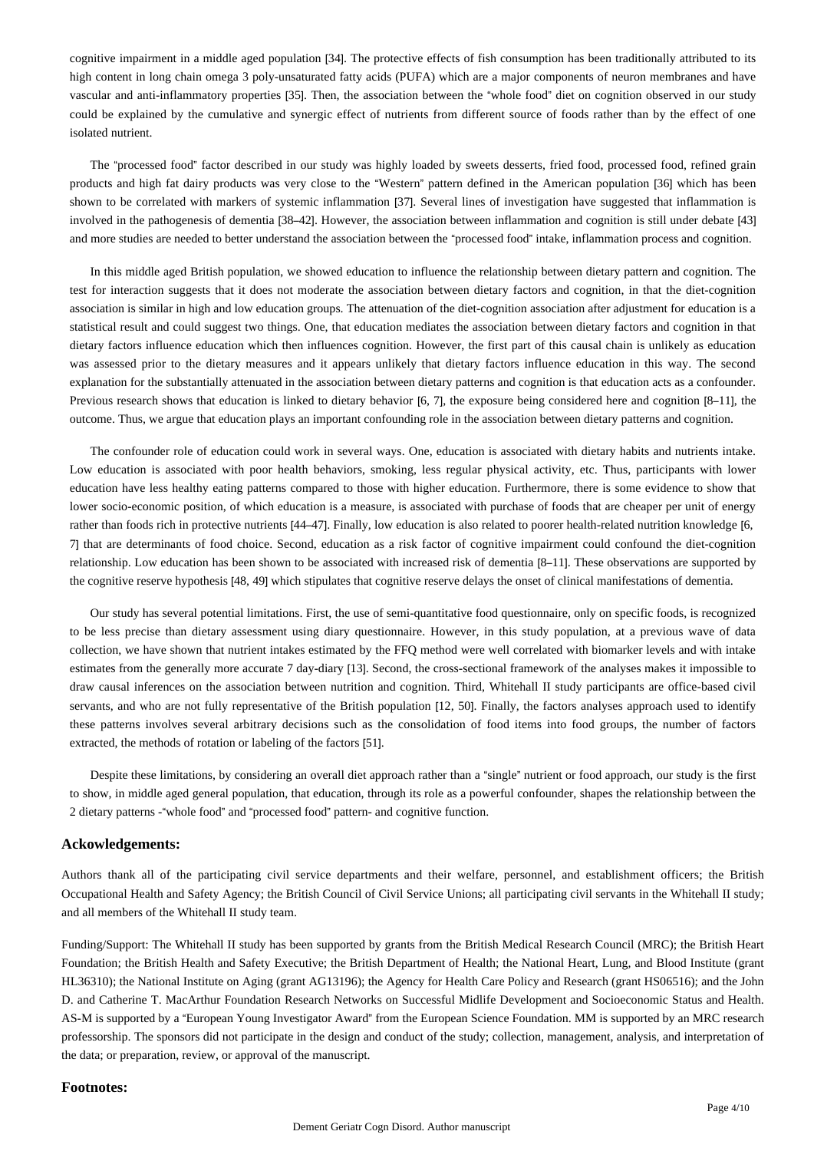cognitive impairment in a middle aged population [34]. The protective effects of fish consumption has been traditionally attributed to its high content in long chain omega 3 poly-unsaturated fatty acids (PUFA) which are a major components of neuron membranes and have vascular and anti-inflammatory properties [35]. Then, the association between the "whole food" diet on cognition observed in our study could be explained by the cumulative and synergic effect of nutrients from different source of foods rather than by the effect of one isolated nutrient.

The "processed food" factor described in our study was highly loaded by sweets desserts, fried food, processed food, refined grain products and high fat dairy products was very close to the "Western" pattern defined in the American population [36] which has been shown to be correlated with markers of systemic inflammation [37]. Several lines of investigation have suggested that inflammation is involved in the pathogenesis of dementia [38–42]. However, the association between inflammation and cognition is still under debate [43] and more studies are needed to better understand the association between the "processed food" intake, inflammation process and cognition.

In this middle aged British population, we showed education to influence the relationship between dietary pattern and cognition. The test for interaction suggests that it does not moderate the association between dietary factors and cognition, in that the diet-cognition association is similar in high and low education groups. The attenuation of the diet-cognition association after adjustment for education is a statistical result and could suggest two things. One, that education mediates the association between dietary factors and cognition in that dietary factors influence education which then influences cognition. However, the first part of this causal chain is unlikely as education was assessed prior to the dietary measures and it appears unlikely that dietary factors influence education in this way. The second explanation for the substantially attenuated in the association between dietary patterns and cognition is that education acts as a confounder. Previous research shows that education is linked to dietary behavior [6, 7], the exposure being considered here and cognition [8–11], the outcome. Thus, we argue that education plays an important confounding role in the association between dietary patterns and cognition.

The confounder role of education could work in several ways. One, education is associated with dietary habits and nutrients intake. Low education is associated with poor health behaviors, smoking, less regular physical activity, etc. Thus, participants with lower education have less healthy eating patterns compared to those with higher education. Furthermore, there is some evidence to show that lower socio-economic position, of which education is a measure, is associated with purchase of foods that are cheaper per unit of energy rather than foods rich in protective nutrients [44–47]. Finally, low education is also related to poorer health-related nutrition knowledge [6, 7] that are determinants of food choice. Second, education as a risk factor of cognitive impairment could confound the diet-cognition relationship. Low education has been shown to be associated with increased risk of dementia [8–11]. These observations are supported by the cognitive reserve hypothesis [48, 49] which stipulates that cognitive reserve delays the onset of clinical manifestations of dementia.

Our study has several potential limitations. First, the use of semi-quantitative food questionnaire, only on specific foods, is recognized to be less precise than dietary assessment using diary questionnaire. However, in this study population, at a previous wave of data collection, we have shown that nutrient intakes estimated by the FFQ method were well correlated with biomarker levels and with intake estimates from the generally more accurate 7 day-diary [13]. Second, the cross-sectional framework of the analyses makes it impossible to draw causal inferences on the association between nutrition and cognition. Third, Whitehall II study participants are office-based civil servants, and who are not fully representative of the British population [12, 50]. Finally, the factors analyses approach used to identify these patterns involves several arbitrary decisions such as the consolidation of food items into food groups, the number of factors extracted, the methods of rotation or labeling of the factors [51].

Despite these limitations, by considering an overall diet approach rather than a "single" nutrient or food approach, our study is the first to show, in middle aged general population, that education, through its role as a powerful confounder, shapes the relationship between the 2 dietary patterns -"whole food" and "processed food" pattern- and cognitive function.

## **Ackowledgements:**

Authors thank all of the participating civil service departments and their welfare, personnel, and establishment officers; the British Occupational Health and Safety Agency; the British Council of Civil Service Unions; all participating civil servants in the Whitehall II study; and all members of the Whitehall II study team.

Funding/Support: The Whitehall II study has been supported by grants from the British Medical Research Council (MRC); the British Heart Foundation; the British Health and Safety Executive; the British Department of Health; the National Heart, Lung, and Blood Institute (grant HL36310); the National Institute on Aging (grant AG13196); the Agency for Health Care Policy and Research (grant HS06516); and the John D. and Catherine T. MacArthur Foundation Research Networks on Successful Midlife Development and Socioeconomic Status and Health. AS-M is supported by a "European Young Investigator Award" from the European Science Foundation. MM is supported by an MRC research professorship. The sponsors did not participate in the design and conduct of the study; collection, management, analysis, and interpretation of the data; or preparation, review, or approval of the manuscript.

# **Footnotes:**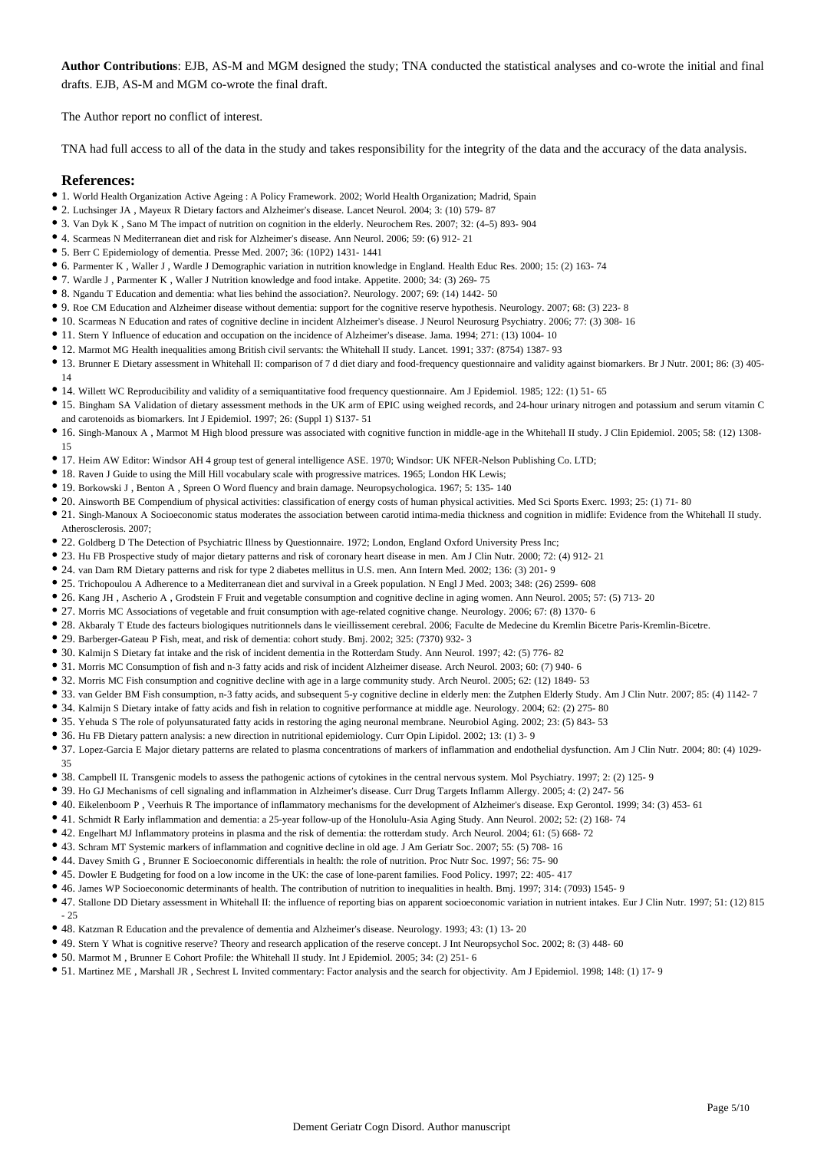**Author Contributions**: EJB, AS-M and MGM designed the study; TNA conducted the statistical analyses and co-wrote the initial and final drafts. EJB, AS-M and MGM co-wrote the final draft.

The Author report no conflict of interest.

TNA had full access to all of the data in the study and takes responsibility for the integrity of the data and the accuracy of the data analysis.

# **References:**

- 1. World Health Organization Active Ageing : A Policy Framework. 2002; World Health Organization; Madrid, Spain
- 2. Luchsinger JA , Mayeux R Dietary factors and Alzheimer's disease. Lancet Neurol. 2004; 3: (10) 579- 87
- 3. Van Dyk K , Sano M The impact of nutrition on cognition in the elderly. Neurochem Res. 2007; 32: (4–5) 893- 904
- 4. Scarmeas N Mediterranean diet and risk for Alzheimer's disease. Ann Neurol. 2006; 59: (6) 912- 21
- 5. Berr C Epidemiology of dementia. Presse Med. 2007; 36: (10P2) 1431- 1441
- 6. Parmenter K , Waller J , Wardle J Demographic variation in nutrition knowledge in England. Health Educ Res. 2000; 15: (2) 163- 74
- 7. Wardle J , Parmenter K , Waller J Nutrition knowledge and food intake. Appetite. 2000; 34: (3) 269- 75
- 8. Ngandu T Education and dementia: what lies behind the association?. Neurology. 2007; 69: (14) 1442- 50
- 9. Roe CM Education and Alzheimer disease without dementia: support for the cognitive reserve hypothesis. Neurology. 2007; 68: (3) 223- 8
- 10. Scarmeas N Education and rates of cognitive decline in incident Alzheimer's disease. J Neurol Neurosurg Psychiatry. 2006; 77: (3) 308- 16
- 11. Stern Y Influence of education and occupation on the incidence of Alzheimer's disease. Jama. 1994; 271: (13) 1004- 10
- 12. Marmot MG Health inequalities among British civil servants: the Whitehall II study. Lancet. 1991; 337: (8754) 1387- 93
- 13. Brunner E Dietary assessment in Whitehall II: comparison of 7 d diet diary and food-frequency questionnaire and validity against biomarkers. Br J Nutr. 2001; 86: (3) 405-
- 14
- 14. Willett WC Reproducibility and validity of a semiquantitative food frequency questionnaire. Am J Epidemiol. 1985; 122: (1) 51- 65
- 15. Bingham SA Validation of dietary assessment methods in the UK arm of EPIC using weighed records, and 24-hour urinary nitrogen and potassium and serum vitamin C and carotenoids as biomarkers. Int J Epidemiol. 1997; 26: (Suppl 1) S137- 51
- 16. Singh-Manoux A , Marmot M High blood pressure was associated with cognitive function in middle-age in the Whitehall II study. J Clin Epidemiol. 2005; 58: (12) 1308- 15
- 17. Heim AW Editor: Windsor AH 4 group test of general intelligence ASE. 1970; Windsor: UK NFER-Nelson Publishing Co. LTD;
- 18. Raven J Guide to using the Mill Hill vocabulary scale with progressive matrices. 1965; London HK Lewis;
- 19. Borkowski J , Benton A , Spreen O Word fluency and brain damage. Neuropsychologica. 1967; 5: 135- 140
- 20. Ainsworth BE Compendium of physical activities: classification of energy costs of human physical activities. Med Sci Sports Exerc. 1993; 25: (1) 71- 80
- 21. Singh-Manoux A Socioeconomic status moderates the association between carotid intima-media thickness and cognition in midlife: Evidence from the Whitehall II study. Atherosclerosis. 2007;
- 22. Goldberg D The Detection of Psychiatric Illness by Questionnaire. 1972; London, England Oxford University Press Inc;
- 23. Hu FB Prospective study of major dietary patterns and risk of coronary heart disease in men. Am J Clin Nutr. 2000; 72: (4) 912-21
- 24. van Dam RM Dietary patterns and risk for type 2 diabetes mellitus in U.S. men. Ann Intern Med. 2002; 136: (3) 201- 9
- 25. Trichopoulou A Adherence to a Mediterranean diet and survival in a Greek population. N Engl J Med. 2003; 348: (26) 2599- 608
- 26. Kang JH , Ascherio A , Grodstein F Fruit and vegetable consumption and cognitive decline in aging women. Ann Neurol. 2005; 57: (5) 713- 20
- 27. Morris MC Associations of vegetable and fruit consumption with age-related cognitive change. Neurology. 2006; 67: (8) 1370- 6
- 28. Akbaraly T Etude des facteurs biologiques nutritionnels dans le vieillissement cerebral. 2006; Faculte de Medecine du Kremlin Bicetre Paris-Kremlin-Bicetre.
- 29. Barberger-Gateau P Fish, meat, and risk of dementia: cohort study. Bmj. 2002; 325: (7370) 932- 3
- 30. Kalmijn S Dietary fat intake and the risk of incident dementia in the Rotterdam Study. Ann Neurol. 1997; 42: (5) 776- 82
- 31. Morris MC Consumption of fish and n-3 fatty acids and risk of incident Alzheimer disease. Arch Neurol. 2003; 60: (7) 940- 6
- 32. Morris MC Fish consumption and cognitive decline with age in a large community study. Arch Neurol. 2005; 62: (12) 1849- 53
- 33. van Gelder BM Fish consumption, n-3 fatty acids, and subsequent 5-y cognitive decline in elderly men: the Zutphen Elderly Study. Am J Clin Nutr. 2007; 85: (4) 1142-7
- 34. Kalmijn S Dietary intake of fatty acids and fish in relation to cognitive performance at middle age. Neurology. 2004; 62: (2) 275- 80
- 35. Yehuda S The role of polyunsaturated fatty acids in restoring the aging neuronal membrane. Neurobiol Aging. 2002; 23: (5) 843- 53
- 36. Hu FB Dietary pattern analysis: a new direction in nutritional epidemiology. Curr Opin Lipidol. 2002; 13: (1) 3- 9
- 37. Lopez-Garcia E Major dietary patterns are related to plasma concentrations of markers of inflammation and endothelial dysfunction. Am J Clin Nutr. 2004; 80: (4) 1029- 35
- 38. Campbell IL Transgenic models to assess the pathogenic actions of cytokines in the central nervous system. Mol Psychiatry. 1997; 2: (2) 125- 9
- 39. Ho GJ Mechanisms of cell signaling and inflammation in Alzheimer's disease. Curr Drug Targets Inflamm Allergy. 2005; 4: (2) 247- 56
- 40. Eikelenboom P , Veerhuis R The importance of inflammatory mechanisms for the development of Alzheimer's disease. Exp Gerontol. 1999; 34: (3) 453- 61
- 41. Schmidt R Early inflammation and dementia: a 25-year follow-up of the Honolulu-Asia Aging Study. Ann Neurol. 2002; 52: (2) 168- 74
- 42. Engelhart MJ Inflammatory proteins in plasma and the risk of dementia: the rotterdam study. Arch Neurol. 2004; 61: (5) 668- 72
- 43. Schram MT Systemic markers of inflammation and cognitive decline in old age. J Am Geriatr Soc. 2007; 55: (5) 708- 16
- 44. Davey Smith G , Brunner E Socioeconomic differentials in health: the role of nutrition. Proc Nutr Soc. 1997; 56: 75- 90
- 45. Dowler E Budgeting for food on a low income in the UK: the case of lone-parent families. Food Policy. 1997; 22: 405- 417
- 46. James WP Socioeconomic determinants of health. The contribution of nutrition to inequalities in health. Bmj. 1997; 314: (7093) 1545- 9
- 47. Stallone DD Dietary assessment in Whitehall II: the influence of reporting bias on apparent socioeconomic variation in nutrient intakes. Eur J Clin Nutr. 1997; 51: (12) 815  $-25$
- 48. Katzman R Education and the prevalence of dementia and Alzheimer's disease. Neurology. 1993; 43: (1) 13- 20
- 49. Stern Y What is cognitive reserve? Theory and research application of the reserve concept. J Int Neuropsychol Soc. 2002; 8: (3) 448- 60
- 50. Marmot M , Brunner E Cohort Profile: the Whitehall II study. Int J Epidemiol. 2005; 34: (2) 251- 6
- 51. Martinez ME , Marshall JR , Sechrest L Invited commentary: Factor analysis and the search for objectivity. Am J Epidemiol. 1998; 148: (1) 17- 9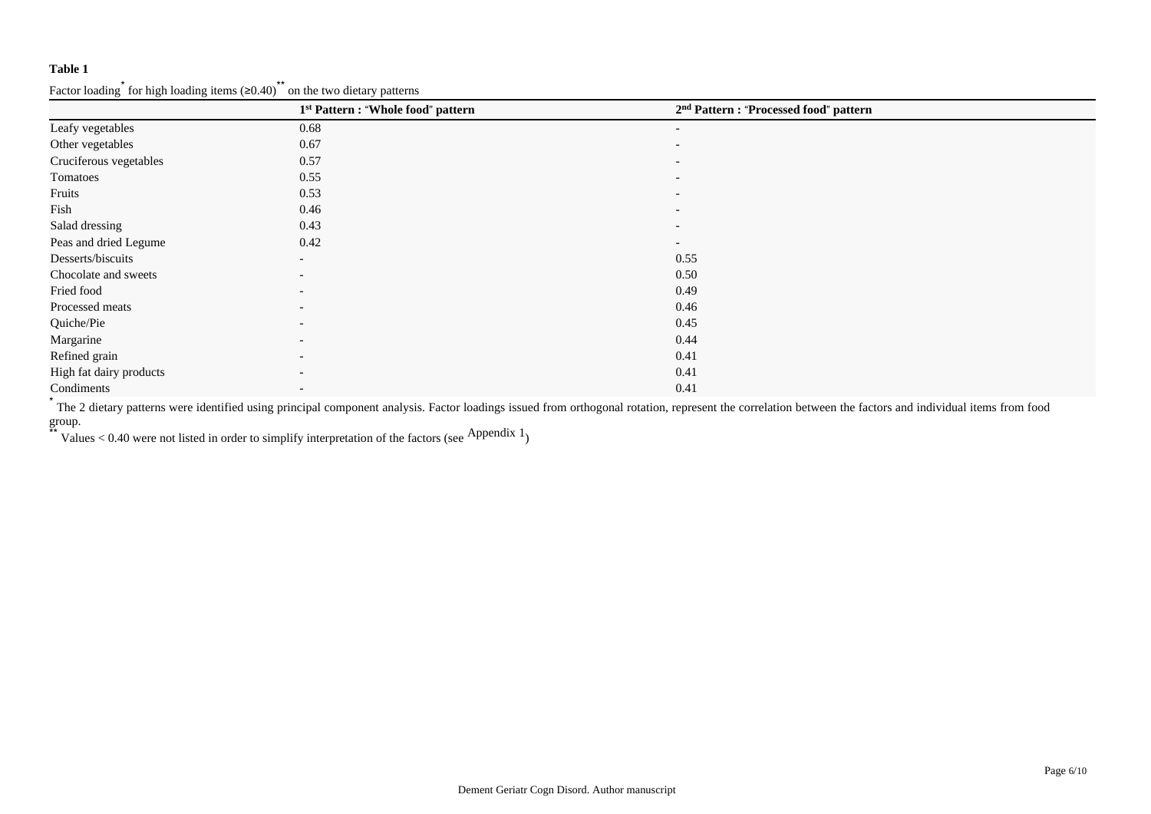|                         | 1 <sup>st</sup> Pattern : "Whole food" pattern | 2 <sup>nd</sup> Pattern : "Processed food" pattern |  |
|-------------------------|------------------------------------------------|----------------------------------------------------|--|
| Leafy vegetables        | 0.68                                           | $\overline{\phantom{0}}$                           |  |
| Other vegetables        | 0.67                                           | $\overline{\phantom{a}}$                           |  |
| Cruciferous vegetables  | 0.57                                           | $\overline{\phantom{0}}$                           |  |
| Tomatoes                | 0.55                                           | $\overline{\phantom{a}}$                           |  |
| Fruits                  | 0.53                                           | $\overline{\phantom{a}}$                           |  |
| Fish                    | 0.46                                           | $\overline{\phantom{0}}$                           |  |
| Salad dressing          | 0.43                                           | $\overline{\phantom{a}}$                           |  |
| Peas and dried Legume   | 0.42                                           | $\overline{\phantom{a}}$                           |  |
| Desserts/biscuits       | $\overline{\phantom{a}}$                       | 0.55                                               |  |
| Chocolate and sweets    | $\overline{\phantom{0}}$                       | 0.50                                               |  |
| Fried food              | $\overline{\phantom{a}}$                       | 0.49                                               |  |
| Processed meats         | $\overline{\phantom{0}}$                       | 0.46                                               |  |
| Quiche/Pie              | $\overline{\phantom{a}}$                       | 0.45                                               |  |
| Margarine               | $\overline{\phantom{a}}$                       | 0.44                                               |  |
| Refined grain           | $\overline{\phantom{0}}$                       | 0.41                                               |  |
| High fat dairy products |                                                | 0.41                                               |  |
| Condiments              | $\overline{\phantom{0}}$                       | 0.41                                               |  |

Factor loading  $*$  for high loading items (≥0.40) $*$  on the two dietary patterns

\* The 2 dietary patterns were identified using principal component analysis. Factor loadings issued from orthogonal rotation, represent the correlation between the factors and individual items from food group.

\*\* Values < 0.40 were not listed in order to simplify interpretation of the factors (see Appendix 1)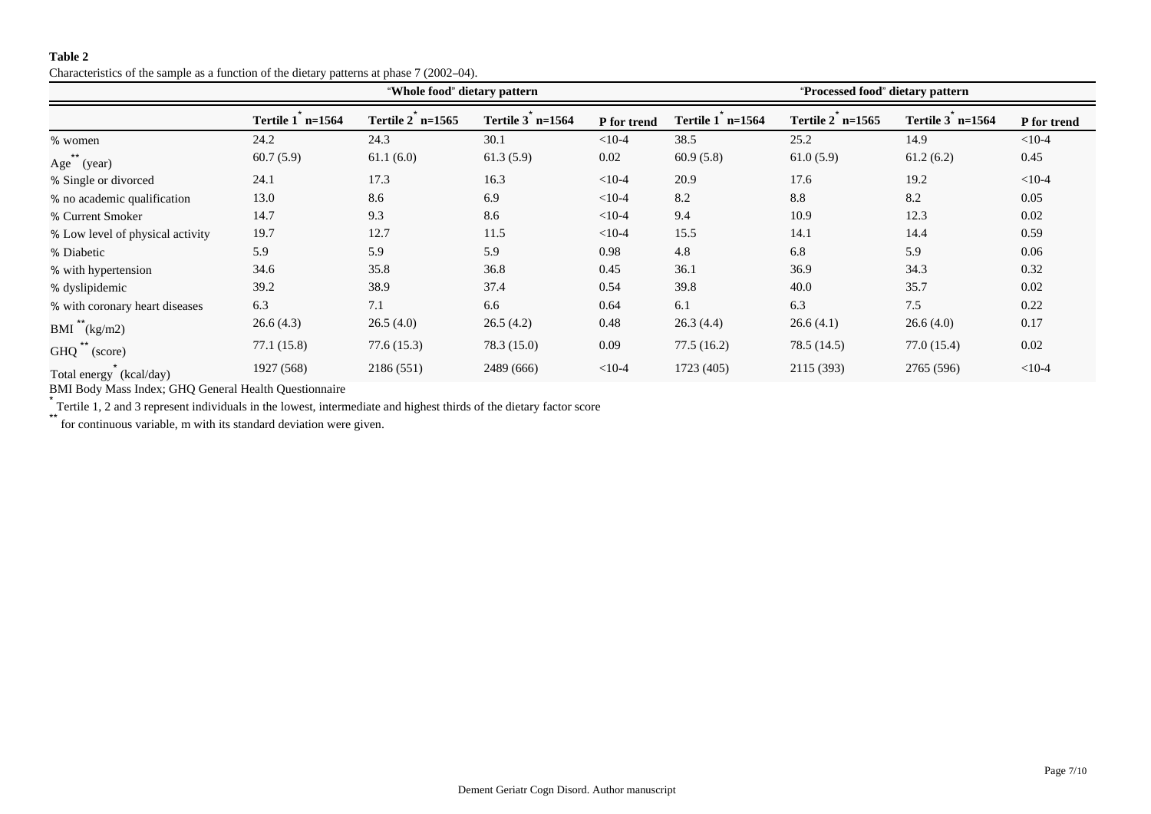Characteristics of the sample as a function of the dietary patterns at phase 7 (2002–04).

|                                  |                    | "Whole food" dietary pattern |                    | "Processed food" dietary pattern |                    |                    |                  |             |  |  |
|----------------------------------|--------------------|------------------------------|--------------------|----------------------------------|--------------------|--------------------|------------------|-------------|--|--|
|                                  | Tertile $1$ n=1564 | Tertile $2$ n=1565           | Tertile $3$ n=1564 | P for trend                      | Tertile $1$ n=1564 | Tertile $2$ n=1565 | Tertile 3 n=1564 | P for trend |  |  |
| % women                          | 24.2               | 24.3                         | 30.1               | $<10-4$                          | 38.5               | 25.2               | 14.9             | $<10-4$     |  |  |
| Age (year)                       | 60.7(5.9)          | 61.1(6.0)                    | 61.3(5.9)          | 0.02                             | 60.9(5.8)          | 61.0(5.9)          | 61.2(6.2)        | 0.45        |  |  |
| % Single or divorced             | 24.1               | 17.3                         | 16.3               | $<10-4$                          | 20.9               | 17.6               | 19.2             | $<10-4$     |  |  |
| % no academic qualification      | 13.0               | 8.6                          | 6.9                | $<10-4$                          | 8.2                | 8.8                | 8.2              | 0.05        |  |  |
| % Current Smoker                 | 14.7               | 9.3                          | 8.6                | $<10-4$                          | 9.4                | 10.9               | 12.3             | 0.02        |  |  |
| % Low level of physical activity | 19.7               | 12.7                         | 11.5               | $<10-4$                          | 15.5               | 14.1               | 14.4             | 0.59        |  |  |
| % Diabetic                       | 5.9                | 5.9                          | 5.9                | 0.98                             | 4.8                | 6.8                | 5.9              | 0.06        |  |  |
| % with hypertension              | 34.6               | 35.8                         | 36.8               | 0.45                             | 36.1               | 36.9               | 34.3             | 0.32        |  |  |
| % dyslipidemic                   | 39.2               | 38.9                         | 37.4               | 0.54                             | 39.8               | 40.0               | 35.7             | 0.02        |  |  |
| % with coronary heart diseases   | 6.3                | 7.1                          | 6.6                | 0.64                             | 6.1                | 6.3                | 7.5              | 0.22        |  |  |
| BMI $(kg/m2)$                    | 26.6(4.3)          | 26.5(4.0)                    | 26.5(4.2)          | 0.48                             | 26.3(4.4)          | 26.6(4.1)          | 26.6(4.0)        | 0.17        |  |  |
| GHQ (score)                      | 77.1(15.8)         | 77.6(15.3)                   | 78.3 (15.0)        | 0.09                             | 77.5(16.2)         | 78.5 (14.5)        | 77.0(15.4)       | 0.02        |  |  |
| Total energy (kcal/day)          | 1927 (568)         | 2186 (551)                   | 2489 (666)         | $<10-4$                          | 1723 (405)         | 2115 (393)         | 2765 (596)       | $<10-4$     |  |  |

BMI Body Mass Index; GHQ General Health Questionnaire

\* Tertile 1, 2 and 3 represent individuals in the lowest, intermediate and highest thirds of the dietary factor score

\*\* for continuous variable, m with its standard deviation were given.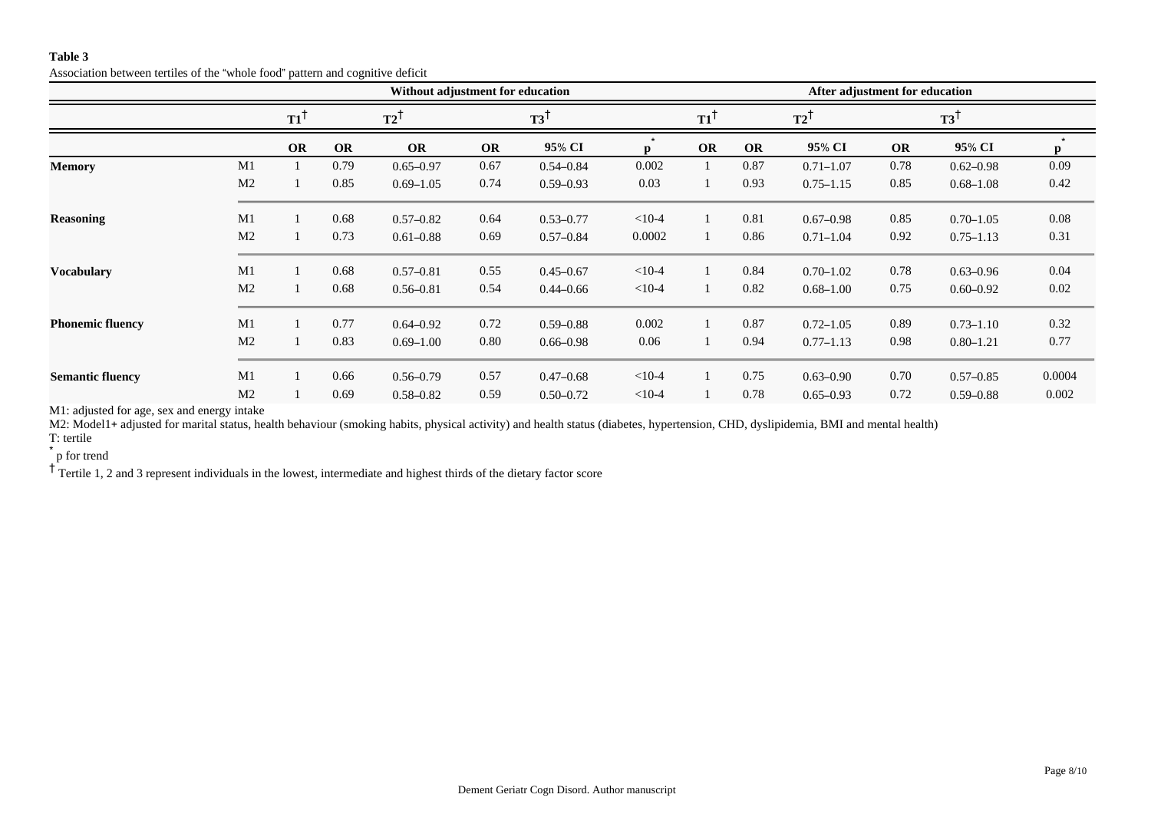Association between tertiles of the "whole food" pattern and cognitive deficit

|                         |                |                |           | Without adjustment for education |                |               | After adjustment for education |                   |           |               |                |               |        |
|-------------------------|----------------|----------------|-----------|----------------------------------|----------------|---------------|--------------------------------|-------------------|-----------|---------------|----------------|---------------|--------|
|                         |                | $T1^{\dagger}$ |           | T2                               | $T3^{\dagger}$ |               |                                | $T1$ <sup>1</sup> | T2        |               | $T3^{\dagger}$ |               |        |
|                         |                | <b>OR</b>      | <b>OR</b> | <b>OR</b>                        | <b>OR</b>      | 95% CI        | $\mathbf{n}$                   | <b>OR</b>         | <b>OR</b> | 95% CI        | OR             | 95% CI        | p      |
| <b>Memory</b>           | M1             |                | 0.79      | $0.65 - 0.97$                    | 0.67           | $0.54 - 0.84$ | 0.002                          |                   | 0.87      | $0.71 - 1.07$ | 0.78           | $0.62 - 0.98$ | 0.09   |
|                         | M <sub>2</sub> |                | 0.85      | $0.69 - 1.05$                    | 0.74           | $0.59 - 0.93$ | 0.03                           |                   | 0.93      | $0.75 - 1.15$ | 0.85           | $0.68 - 1.08$ | 0.42   |
| <b>Reasoning</b>        | M1             |                | 0.68      | $0.57 - 0.82$                    | 0.64           | $0.53 - 0.77$ | $<10-4$                        |                   | 0.81      | $0.67 - 0.98$ | 0.85           | $0.70 - 1.05$ | 0.08   |
|                         | M <sub>2</sub> |                | 0.73      | $0.61 - 0.88$                    | 0.69           | $0.57 - 0.84$ | 0.0002                         |                   | 0.86      | $0.71 - 1.04$ | 0.92           | $0.75 - 1.13$ | 0.31   |
| <b>Vocabulary</b>       | M1             |                | 0.68      | $0.57 - 0.81$                    | 0.55           | $0.45 - 0.67$ | $<10-4$                        |                   | 0.84      | $0.70 - 1.02$ | 0.78           | $0.63 - 0.96$ | 0.04   |
|                         | M <sub>2</sub> |                | 0.68      | $0.56 - 0.81$                    | 0.54           | $0.44 - 0.66$ | $<10-4$                        |                   | 0.82      | $0.68 - 1.00$ | 0.75           | $0.60 - 0.92$ | 0.02   |
| <b>Phonemic fluency</b> | M1             |                | 0.77      | $0.64 - 0.92$                    | 0.72           | $0.59 - 0.88$ | 0.002                          |                   | 0.87      | $0.72 - 1.05$ | 0.89           | $0.73 - 1.10$ | 0.32   |
|                         | M <sub>2</sub> |                | 0.83      | $0.69 - 1.00$                    | 0.80           | $0.66 - 0.98$ | 0.06                           |                   | 0.94      | $0.77 - 1.13$ | 0.98           | $0.80 - 1.21$ | 0.77   |
| <b>Semantic fluency</b> | M1             |                | 0.66      | $0.56 - 0.79$                    | 0.57           | $0.47 - 0.68$ | $<10-4$                        |                   | 0.75      | $0.63 - 0.90$ | 0.70           | $0.57 - 0.85$ | 0.0004 |
|                         | M <sub>2</sub> |                | 0.69      | $0.58 - 0.82$                    | 0.59           | $0.50 - 0.72$ | $<10-4$                        |                   | 0.78      | $0.65 - 0.93$ | 0.72           | $0.59 - 0.88$ | 0.002  |

M1: adjusted for age, sex and energy intake

M2: Model1+ adjusted for marital status, health behaviour (smoking habits, physical activity) and health status (diabetes, hypertension, CHD, dyslipidemia, BMI and mental health)

T: tertile

\* p for trend

<sup>†</sup> Tertile 1, 2 and 3 represent individuals in the lowest, intermediate and highest thirds of the dietary factor score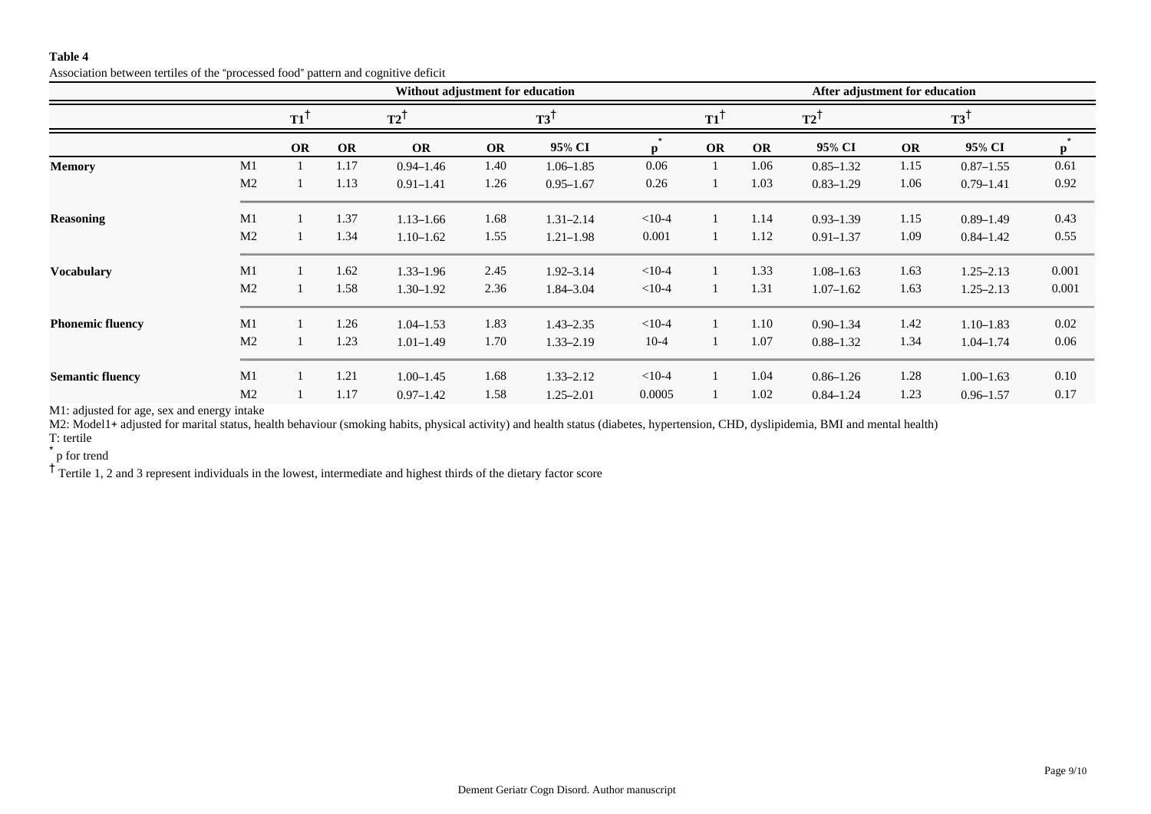Association between tertiles of the "processed food" pattern and cognitive deficit

|                         |                |                |           | Without adjustment for education |           |                | After adjustment for education |                |           |                |                |               |       |
|-------------------------|----------------|----------------|-----------|----------------------------------|-----------|----------------|--------------------------------|----------------|-----------|----------------|----------------|---------------|-------|
|                         |                | $T1^{\dagger}$ |           | $T2^1$                           |           | $T3^{\dagger}$ |                                | $T1^{\dagger}$ |           | $T2^{\dagger}$ | $T3^{\dagger}$ |               |       |
|                         |                | <b>OR</b>      | <b>OR</b> | <b>OR</b>                        | <b>OR</b> | 95% CI         | $\mathbf{p}$                   | <b>OR</b>      | <b>OR</b> | 95% CI         | OR             | 95% CI        | p     |
| <b>Memory</b>           | M1             |                | 1.17      | $0.94 - 1.46$                    | 1.40      | $1.06 - 1.85$  | 0.06                           |                | 1.06      | $0.85 - 1.32$  | 1.15           | $0.87 - 1.55$ | 0.61  |
|                         | M <sub>2</sub> |                | 1.13      | $0.91 - 1.41$                    | 1.26      | $0.95 - 1.67$  | 0.26                           |                | 1.03      | $0.83 - 1.29$  | 1.06           | $0.79 - 1.41$ | 0.92  |
| <b>Reasoning</b>        | M1             |                | 1.37      | $1.13 - 1.66$                    | 1.68      | $1.31 - 2.14$  | $< 10-4$                       |                | 1.14      | $0.93 - 1.39$  | 1.15           | $0.89 - 1.49$ | 0.43  |
|                         | M <sub>2</sub> |                | 1.34      | $1.10 - 1.62$                    | 1.55      | $1.21 - 1.98$  | 0.001                          |                | 1.12      | $0.91 - 1.37$  | 1.09           | $0.84 - 1.42$ | 0.55  |
| <b>Vocabulary</b>       | M1             |                | 1.62      | $1.33 - 1.96$                    | 2.45      | $1.92 - 3.14$  | $< 10-4$                       |                | 1.33      | $1.08 - 1.63$  | 1.63           | $1.25 - 2.13$ | 0.001 |
|                         | M <sub>2</sub> |                | 1.58      | $1.30 - 1.92$                    | 2.36      | 1.84-3.04      | $< 10-4$                       |                | 1.31      | $1.07 - 1.62$  | 1.63           | $1.25 - 2.13$ | 0.001 |
| <b>Phonemic fluency</b> | M1             |                | 1.26      | $1.04 - 1.53$                    | 1.83      | $1.43 - 2.35$  | $<10-4$                        |                | 1.10      | $0.90 - 1.34$  | 1.42           | $1.10 - 1.83$ | 0.02  |
|                         | M <sub>2</sub> |                | 1.23      | $1.01 - 1.49$                    | 1.70      | $1.33 - 2.19$  | $10-4$                         |                | 1.07      | $0.88 - 1.32$  | 1.34           | $1.04 - 1.74$ | 0.06  |
| <b>Semantic fluency</b> | M1             |                | 1.21      | $1.00 - 1.45$                    | 1.68      | $1.33 - 2.12$  | $<10-4$                        |                | 1.04      | $0.86 - 1.26$  | 1.28           | $1.00 - 1.63$ | 0.10  |
|                         | M <sub>2</sub> |                | 1.17      | $0.97 - 1.42$                    | 1.58      | $1.25 - 2.01$  | 0.0005                         |                | 1.02      | $0.84 - 1.24$  | 1.23           | $0.96 - 1.57$ | 0.17  |

M1: adjusted for age, sex and energy intake

M2: Model1+ adjusted for marital status, health behaviour (smoking habits, physical activity) and health status (diabetes, hypertension, CHD, dyslipidemia, BMI and mental health)

T: tertile

\* p for trend

<sup>†</sup> Tertile 1, 2 and 3 represent individuals in the lowest, intermediate and highest thirds of the dietary factor score